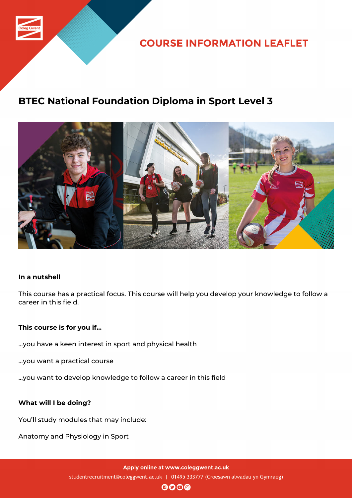

**COURSE INFORMATION LEAFLET** 

# **BTEC National Foundation Diploma in Sport Level 3**



## **In a nutshell**

This course has a practical focus. This course will help you develop your knowledge to follow a career in this field.

## **This course is for you if...**

- ...you have a keen interest in sport and physical health
- ...you want a practical course
- ...you want to develop knowledge to follow a career in this field

## **What will I be doing?**

You'll study modules that may include:

Anatomy and Physiology in Sport

Apply online at www.coleggwent.ac.uk studentrecruitment@coleggwent.ac.uk | 01495 333777 (Croesawn alwadau yn Gymraeg)

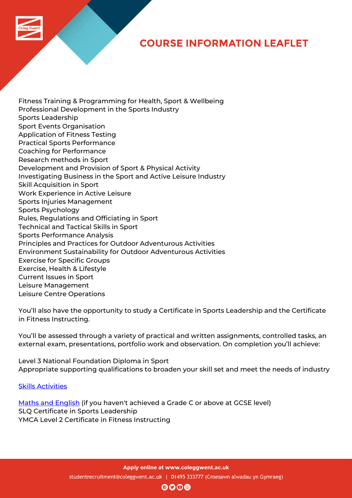## **COURSE INFORMATION LEAFLET**

Fitness Training & Programming for Health, Sport & Wellbeing Professional Development in the Sports Industry Sports Leadership Sport Events Organisation Application of Fitness Testing Practical Sports Performance Coaching for Performance Research methods in Sport Development and Provision of Sport & Physical Activity Investigating Business in the Sport and Active Leisure Industry Skill Acquisition in Sport Work Experience in Active Leisure Sports Injuries Management Sports Psychology Rules, Regulations and Officiating in Sport Technical and Tactical Skills in Sport Sports Performance Analysis Principles and Practices for Outdoor Adventurous Activities Environment Sustainability for Outdoor Adventurous Activities Exercise for Specific Groups Exercise, Health & Lifestyle Current Issues in Sport Leisure Management Leisure Centre Operations

You'll also have the opportunity to study a Certificate in Sports Leadership and the Certificate in Fitness Instructing.

You'll be assessed through a variety of practical and written assignments, controlled tasks, an external exam, presentations, portfolio work and observation. On completion you'll achieve:

Level 3 National Foundation Diploma in Sport Appropriate supporting qualifications to broaden your skill set and meet the needs of industry

#### Skills Activities

Maths and English (if you haven't achieved a Grade C or above at GCSE level) SLQ Certificate in Sports Leadership [YMCA Level 2 C](http://www.coleggwent.ac.uk/index.php?option=com_content&view=article&id=117#.WT_IG8s5WUk)ertificate in Fitness Instructing

Apply online at www.coleggwent.ac.uk

studentrecruitment@coleggwent.ac.uk | 01495 333777 (Croesawn alwadau yn Gymraeg)